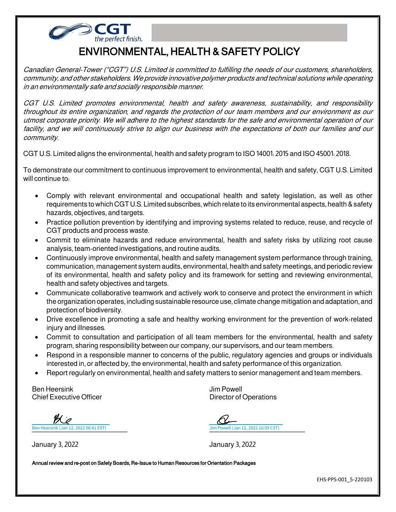

## ENVIRONMENTAL, HEALTH & SAFETY POLICY

Canadian General-Tower ("CGT") U.S. Limited is committed to fulfilling the needs of our customers, shareholders, community, and other stakeholders. We provide innovative polymer products and technical solutions while operating in an environmentally safe and socially responsible manner.

CGT U.S. Limited promotes environmental, health and safety awareness, sustainability, and responsibility throughout its entire organization, and regards the protection of our team members and our environment as our utmost corporate priority. We will adhere to the highest standards for the safe and environmental operation of our facility, and we will continuously strive to align our business with the expectations of both our families and our community.

CGT U.S. Limited aligns the environmental, health and safety program to ISO 14001: 2015 and ISO 45001: 2018.

To demonstrate our commitment to continuous improvement to environmental, health and safety, CGT U.S. Limited will continue to:

- Comply with relevant environmental and occupational health and safety legislation, as well as other requirements to which CGT U.S. Limited subscribes, which relate to its environmental aspects, health & safety hazards, objectives, and targets.
- Practice pollution prevention by identifying and improving systems related to reduce, reuse, and recycle of CGT products and process waste.
- Commit to eliminate hazards and reduce environmental, health and safety risks by utilizing root cause analysis, team-oriented investigations, and routine audits.
- Continuously improve environmental, health and safety management system performance through training, communication, management system audits, environmental, health and safety meetings, and periodic review of its environmental, health and safety policy and its framework for setting and reviewing environmental, health and safety objectives and targets.
- Communicate collaborative teamwork and actively work to conserve and protect the environment in which the organization operates, including sustainable resource use, climate change mitigation and adaptation, and protection of biodiversity.
- Drive excellence in promoting a safe and healthy working environment for the prevention of work-related injury and illnesses.
- Commit to consultation and participation of all team members for the environmental, health and safety program, sharing responsibility between our company, our supervisors, and our team members.
- Respond in a responsible manner to concerns of the public, regulatory agencies and groups or individuals interested in, or affected by, the environmental, health and safety performance of this organization.
- Report regularly on environmental, health and safety matters to senior management and team members.

Ben Heersink University of the University of the University of the University of the University of the University<br>Chief Executive Officer University of the University of the University of the University of the University o

[\\_\\_\\_\\_\\_\\_\\_\\_\\_\\_\\_\\_\\_\\_\\_\\_\\_\\_\\_\\_\\_\\_\\_\\_\\_\\_\\_\\_\\_\\_\\_\\_\\_\\_\\_](https://na2.documents.adobe.com/verifier?tx=CBJCHBCAABAAUygYOTX-lh5TXuE48LJVedZtJkX1EXwx) [\\_\\_\\_\\_\\_\\_\\_\\_\\_\\_\\_\\_\\_\\_\\_\\_\\_\\_\\_\\_\\_\\_\\_\\_\\_\\_\\_\\_\\_\\_\\_\\_\\_\\_\\_](https://adobecancelledaccountschannel.na2.documents.adobe.com/verifier?tx=CBJCHBCAABAAUygYOTX-lh5TXuE48LJVedZtJkX1EXwx) Ben Heersink (Jan 12, 2022 06:41 EST) Jim Powell (Jan 12, 2022 16:59 CST)

January 3, 2022 January 3, 2022

Director of Operations

Annual review and re-post on Safety Boards, Re-Issue to Human Resources for Orientation Packages

EHS-PPS-001\_5-220103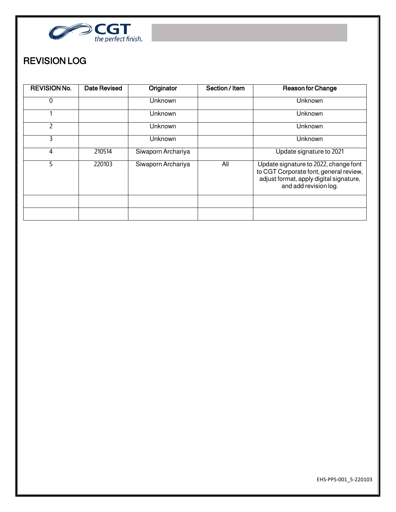

## REVISION LOG

| <b>REVISION No.</b> | <b>Date Revised</b> | Originator         | Section / Item | <b>Reason for Change</b>                                                                                                                            |
|---------------------|---------------------|--------------------|----------------|-----------------------------------------------------------------------------------------------------------------------------------------------------|
| 0                   |                     | Unknown            |                | Unknown                                                                                                                                             |
|                     |                     | <b>Unknown</b>     |                | Unknown                                                                                                                                             |
| 2                   |                     | Unknown            |                | Unknown                                                                                                                                             |
| 3                   |                     | <b>Unknown</b>     |                | Unknown                                                                                                                                             |
| 4                   | 210514              | Siwaporn Archariya |                | Update signature to 2021                                                                                                                            |
| 5.                  | 220103              | Siwaporn Archariya | All            | Update signature to 2022, change font<br>to CGT Corporate font, general review,<br>adjust format, apply digital signature,<br>and add revision log. |
|                     |                     |                    |                |                                                                                                                                                     |
|                     |                     |                    |                |                                                                                                                                                     |